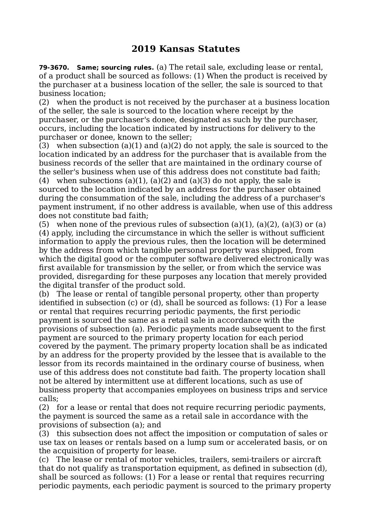## **2019 Kansas Statutes**

**79-3670. Same; sourcing rules.** (a) The retail sale, excluding lease or rental, of a product shall be sourced as follows: (1) When the product is received by the purchaser at a business location of the seller, the sale is sourced to that business location;

(2) when the product is not received by the purchaser at a business location of the seller, the sale is sourced to the location where receipt by the purchaser, or the purchaser's donee, designated as such by the purchaser, occurs, including the location indicated by instructions for delivery to the purchaser or donee, known to the seller;

(3) when subsection (a)(1) and (a)(2) do not apply, the sale is sourced to the location indicated by an address for the purchaser that is available from the business records of the seller that are maintained in the ordinary course of the seller's business when use of this address does not constitute bad faith;

(4) when subsections (a)(1), (a)(2) and (a)(3) do not apply, the sale is sourced to the location indicated by an address for the purchaser obtained during the consummation of the sale, including the address of a purchaser's payment instrument, if no other address is available, when use of this address does not constitute bad faith;

(5) when none of the previous rules of subsection (a)(1), (a)(2), (a)(3) or (a) (4) apply, including the circumstance in which the seller is without sufficient information to apply the previous rules, then the location will be determined by the address from which tangible personal property was shipped, from which the digital good or the computer software delivered electronically was first available for transmission by the seller, or from which the service was provided, disregarding for these purposes any location that merely provided the digital transfer of the product sold.

(b) The lease or rental of tangible personal property, other than property identified in subsection (c) or (d), shall be sourced as follows: (1) For a lease or rental that requires recurring periodic payments, the first periodic payment is sourced the same as a retail sale in accordance with the provisions of subsection (a). Periodic payments made subsequent to the first payment are sourced to the primary property location for each period covered by the payment. The primary property location shall be as indicated by an address for the property provided by the lessee that is available to the lessor from its records maintained in the ordinary course of business, when use of this address does not constitute bad faith. The property location shall not be altered by intermittent use at different locations, such as use of business property that accompanies employees on business trips and service calls;

(2) for a lease or rental that does not require recurring periodic payments, the payment is sourced the same as a retail sale in accordance with the provisions of subsection (a); and

(3) this subsection does not affect the imposition or computation of sales or use tax on leases or rentals based on a lump sum or accelerated basis, or on the acquisition of property for lease.

(c) The lease or rental of motor vehicles, trailers, semi-trailers or aircraft that do not qualify as transportation equipment, as defined in subsection (d), shall be sourced as follows: (1) For a lease or rental that requires recurring periodic payments, each periodic payment is sourced to the primary property